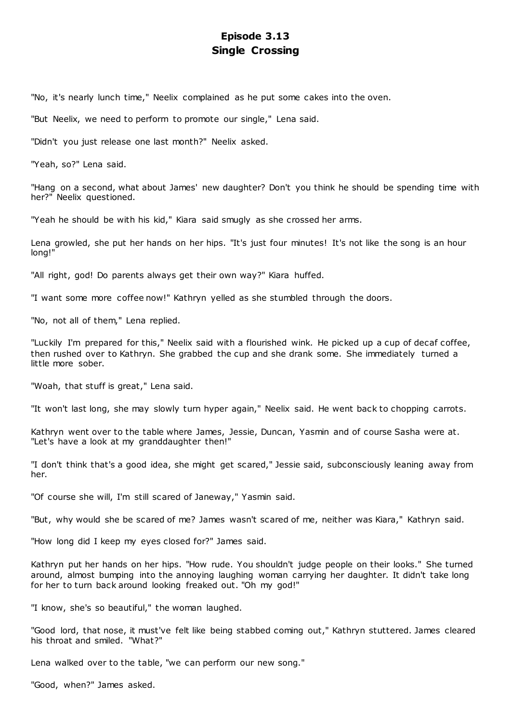# **Episode 3.13 Single Crossing**

"No, it's nearly lunch time," Neelix complained as he put some cakes into the oven.

"But Neelix, we need to perform to promote our single," Lena said.

"Didn't you just release one last month?" Neelix asked.

"Yeah, so?" Lena said.

"Hang on a second, what about James' new daughter? Don't you think he should be spending time with her?" Neelix questioned.

"Yeah he should be with his kid," Kiara said smugly as she crossed her arms.

Lena growled, she put her hands on her hips. "It's just four minutes! It's not like the song is an hour long!"

"All right, god! Do parents always get their own way?" Kiara huffed.

"I want some more coffee now!" Kathryn yelled as she stumbled through the doors.

"No, not all of them," Lena replied.

"Luckily I'm prepared for this," Neelix said with a flourished wink. He picked up a cup of decaf coffee, then rushed over to Kathryn. She grabbed the cup and she drank some. She immediately turned a little more sober.

"Woah, that stuff is great," Lena said.

"It won't last long, she may slowly turn hyper again," Neelix said. He went back to chopping carrots.

Kathryn went over to the table where James, Jessie, Duncan, Yasmin and of course Sasha were at. "Let's have a look at my granddaughter then!"

"I don't think that's a good idea, she might get scared," Jessie said, subconsciously leaning away from her.

"Of course she will, I'm still scared of Janeway," Yasmin said.

"But, why would she be scared of me? James wasn't scared of me, neither was Kiara," Kathryn said.

"How long did I keep my eyes closed for?" James said.

Kathryn put her hands on her hips. "How rude. You shouldn't judge people on their looks." She turned around, almost bumping into the annoying laughing woman carrying her daughter. It didn't take long for her to turn back around looking freaked out. "Oh my god!"

"I know, she's so beautiful," the woman laughed.

"Good lord, that nose, it must've felt like being stabbed coming out," Kathryn stuttered. James cleared his throat and smiled. "What?"

Lena walked over to the table, "we can perform our new song."

"Good, when?" James asked.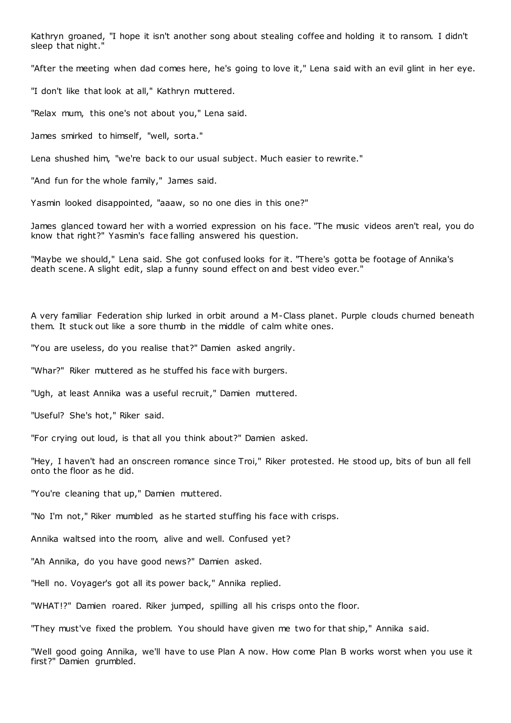Kathryn groaned, "I hope it isn't another song about stealing coffee and holding it to ransom. I didn't sleep that night."

"After the meeting when dad comes here, he's going to love it," Lena said with an evil glint in her eye.

"I don't like that look at all," Kathryn muttered.

"Relax mum, this one's not about you," Lena said.

James smirked to himself, "well, sorta."

Lena shushed him, "we're back to our usual subject. Much easier to rewrite."

"And fun for the whole family," James said.

Yasmin looked disappointed, "aaaw, so no one dies in this one?"

James glanced toward her with a worried expression on his face. "The music videos aren't real, you do know that right?" Yasmin's face falling answered his question.

"Maybe we should," Lena said. She got confused looks for it. "There's gotta be footage of Annika's death scene. A slight edit, slap a funny sound effect on and best video ever."

A very familiar Federation ship lurked in orbit around a M-Class planet. Purple clouds churned beneath them. It stuck out like a sore thumb in the middle of calm white ones.

"You are useless, do you realise that?" Damien asked angrily.

"Whar?" Riker muttered as he stuffed his face with burgers.

"Ugh, at least Annika was a useful recruit," Damien muttered.

"Useful? She's hot," Riker said.

"For crying out loud, is that all you think about?" Damien asked.

"Hey, I haven't had an onscreen romance since Troi," Riker protested. He stood up, bits of bun all fell onto the floor as he did.

"You're cleaning that up," Damien muttered.

"No I'm not," Riker mumbled as he started stuffing his face with crisps.

Annika waltsed into the room, alive and well. Confused yet?

"Ah Annika, do you have good news?" Damien asked.

"Hell no. Voyager's got all its power back," Annika replied.

"WHAT!?" Damien roared. Riker jumped, spilling all his crisps onto the floor.

"They must've fixed the problem. You should have given me two for that ship," Annika said.

"Well good going Annika, we'll have to use Plan A now. How come Plan B works worst when you use it first?" Damien grumbled.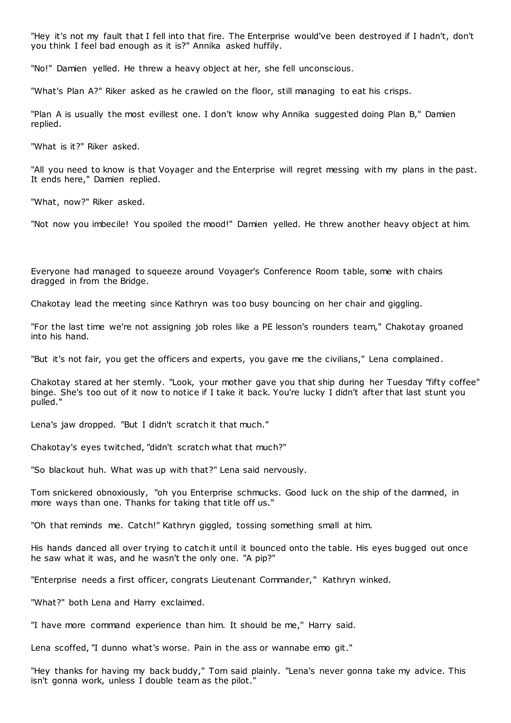"Hey it's not my fault that I fell into that fire. The Enterprise would've been destroyed if I hadn't, don't you think I feel bad enough as it is?" Annika asked huffily.

"No!" Damien yelled. He threw a heavy object at her, she fell unconscious.

"What's Plan A?" Riker asked as he crawled on the floor, still managing to eat his crisps.

"Plan A is usually the most evillest one. I don't know why Annika suggested doing Plan B," Damien replied.

"What is it?" Riker asked.

"All you need to know is that Voyager and the Enterprise will regret messing with my plans in the past. It ends here," Damien replied.

"What, now?" Riker asked.

"Not now you imbecile! You spoiled the mood!" Damien yelled. He threw another heavy object at him.

Everyone had managed to squeeze around Voyager's Conference Room table, some with chairs dragged in from the Bridge.

Chakotay lead the meeting since Kathryn was too busy bouncing on her chair and giggling.

"For the last time we're not assigning job roles like a PE lesson's rounders team," Chakotay groaned into his hand.

"But it's not fair, you get the officers and experts, you gave me the civilians," Lena complained.

Chakotay stared at her sternly. "Look, your mother gave you that ship during her Tuesday "fifty coffee" binge. She's too out of it now to notice if I take it back. You're lucky I didn't after that last stunt you pulled."

Lena's jaw dropped. "But I didn't scratch it that much."

Chakotay's eyes twitched, "didn't scratch what that much?"

"So blackout huh. What was up with that?" Lena said nervously.

Tom snickered obnoxiously, "oh you Enterprise schmucks. Good luck on the ship of the damned, in more ways than one. Thanks for taking that title off us."

"Oh that reminds me. Catch!" Kathryn giggled, tossing something small at him.

His hands danced all over trying to catch it until it bounced onto the table. His eyes bugged out once he saw what it was, and he wasn't the only one. "A pip?"

"Enterprise needs a first officer, congrats Lieutenant Commander," Kathryn winked.

"What?" both Lena and Harry exclaimed.

"I have more command experience than him. It should be me," Harry said.

Lena scoffed, "I dunno what's worse. Pain in the ass or wannabe emo git."

"Hey thanks for having my back buddy," Tom said plainly. "Lena's never gonna take my advice. This isn't gonna work, unless I double team as the pilot."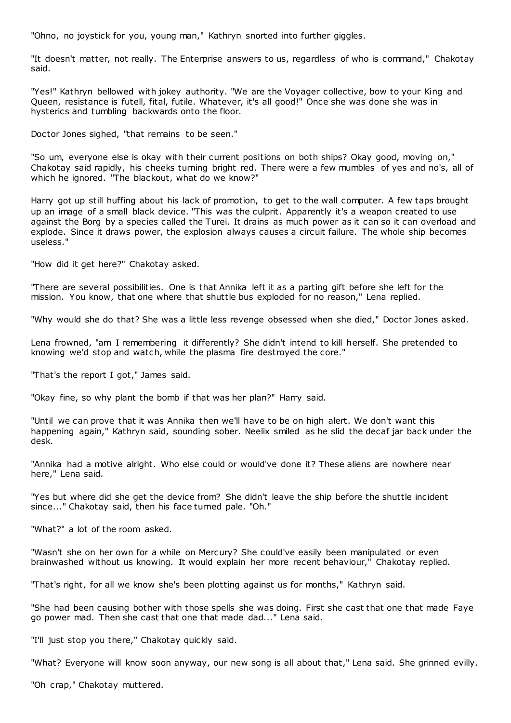"Ohno, no joystick for you, young man," Kathryn snorted into further giggles.

"It doesn't matter, not really. The Enterprise answers to us, regardless of who is command," Chakotay said.

"Yes!" Kathryn bellowed with jokey authority. "We are the Voyager collective, bow to your King and Queen, resistance is futell, fital, futile. Whatever, it's all good!" Once she was done she was in hysterics and tumbling backwards onto the floor.

Doctor Jones sighed, "that remains to be seen."

"So um, everyone else is okay with their current positions on both ships? Okay good, moving on," Chakotay said rapidly, his cheeks turning bright red. There were a few mumbles of yes and no's, all of which he ignored. "The blackout, what do we know?"

Harry got up still huffing about his lack of promotion, to get to the wall computer. A few taps brought up an image of a small black device. "This was the culprit. Apparently it's a weapon created to use against the Borg by a species called the Turei. It drains as much power as it can so it can overload and explode. Since it draws power, the explosion always causes a circuit failure. The whole ship becomes useless."

"How did it get here?" Chakotay asked.

"There are several possibilities. One is that Annika left it as a parting gift before she left for the mission. You know, that one where that shuttle bus exploded for no reason," Lena replied.

"Why would she do that? She was a little less revenge obsessed when she died," Doctor Jones asked.

Lena frowned, "am I remembering it differently? She didn't intend to kill herself. She pretended to knowing we'd stop and watch, while the plasma fire destroyed the core."

"That's the report I got," James said.

"Okay fine, so why plant the bomb if that was her plan?" Harry said.

"Until we can prove that it was Annika then we'll have to be on high alert. We don't want this happening again," Kathryn said, sounding sober. Neelix smiled as he slid the decaf jar back under the desk.

"Annika had a motive alright. Who else could or would've done it? These aliens are nowhere near here," Lena said.

"Yes but where did she get the device from? She didn't leave the ship before the shuttle incident since..." Chakotay said, then his face turned pale. "Oh."

"What?" a lot of the room asked.

"Wasn't she on her own for a while on Mercury? She could've easily been manipulated or even brainwashed without us knowing. It would explain her more recent behaviour," Chakotay replied.

"That's right, for all we know she's been plotting against us for months," Kathryn said.

"She had been causing bother with those spells she was doing. First she cast that one that made Faye go power mad. Then she cast that one that made dad..." Lena said.

"I'll just stop you there," Chakotay quickly said.

"What? Everyone will know soon anyway, our new song is all about that," Lena said. She grinned evilly.

"Oh crap," Chakotay muttered.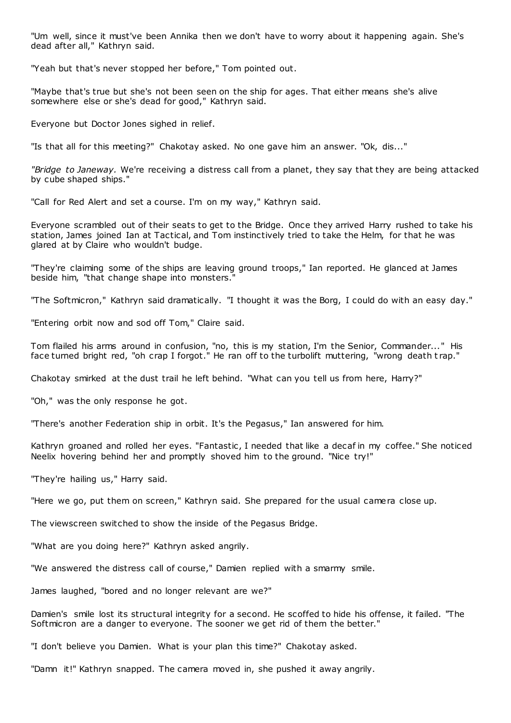"Um well, since it must've been Annika then we don't have to worry about it happening again. She's dead after all," Kathryn said.

"Yeah but that's never stopped her before," Tom pointed out.

"Maybe that's true but she's not been seen on the ship for ages. That either means she's alive somewhere else or she's dead for good," Kathryn said.

Everyone but Doctor Jones sighed in relief.

"Is that all for this meeting?" Chakotay asked. No one gave him an answer. "Ok, dis..."

*"Bridge to Janeway.* We're receiving a distress call from a planet, they say that they are being attacked by cube shaped ships."

"Call for Red Alert and set a course. I'm on my way," Kathryn said.

Everyone scrambled out of their seats to get to the Bridge. Once they arrived Harry rushed to take his station, James joined Ian at Tactical, and Tom instinctively tried to take the Helm, for that he was glared at by Claire who wouldn't budge.

"They're claiming some of the ships are leaving ground troops," Ian reported. He glanced at James beside him, "that change shape into monsters."

"The Softmicron," Kathryn said dramatically. "I thought it was the Borg, I could do with an easy day."

"Entering orbit now and sod off Tom," Claire said.

Tom flailed his arms around in confusion, "no, this is my station, I'm the Senior, Commander..." His face turned bright red, "oh crap I forgot." He ran off to the turbolift muttering, "wrong death t rap."

Chakotay smirked at the dust trail he left behind. "What can you tell us from here, Harry?"

"Oh," was the only response he got.

"There's another Federation ship in orbit. It's the Pegasus," Ian answered for him.

Kathryn groaned and rolled her eyes. "Fantastic, I needed that like a decaf in my coffee." She noticed Neelix hovering behind her and promptly shoved him to the ground. "Nice try!"

"They're hailing us," Harry said.

"Here we go, put them on screen," Kathryn said. She prepared for the usual camera close up.

The viewscreen switched to show the inside of the Pegasus Bridge.

"What are you doing here?" Kathryn asked angrily.

"We answered the distress call of course," Damien replied with a smarmy smile.

James laughed, "bored and no longer relevant are we?"

Damien's smile lost its structural integrity for a second. He scoffed to hide his offense, it failed. "The Softmicron are a danger to everyone. The sooner we get rid of them the better."

"I don't believe you Damien. What is your plan this time?" Chakotay asked.

"Damn it!" Kathryn snapped. The camera moved in, she pushed it away angrily.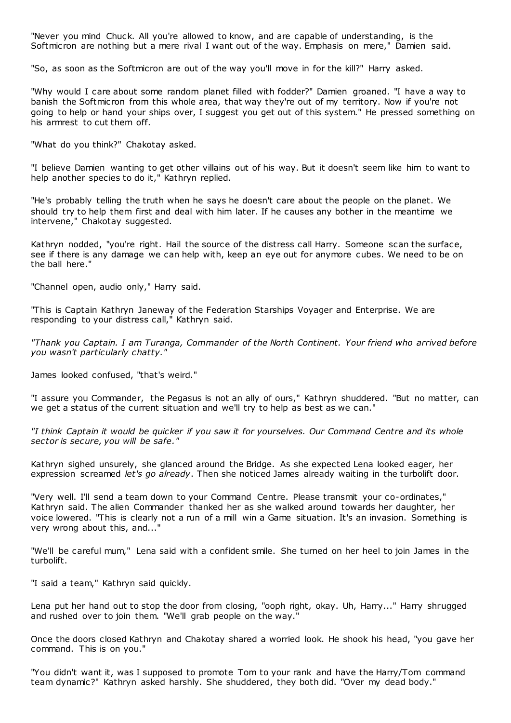"Never you mind Chuck. All you're allowed to know, and are capable of understanding, is the Softmicron are nothing but a mere rival I want out of the way. Emphasis on mere," Damien said.

"So, as soon as the Softmicron are out of the way you'll move in for the kill?" Harry asked.

"Why would I care about some random planet filled with fodder?" Damien groaned. "I have a way to banish the Softmicron from this whole area, that way they're out of my territory. Now if you're not going to help or hand your ships over, I suggest you get out of this system." He pressed something on his armrest to cut them off.

"What do you think?" Chakotay asked.

"I believe Damien wanting to get other villains out of his way. But it doesn't seem like him to want to help another species to do it," Kathryn replied.

"He's probably telling the truth when he says he doesn't care about the people on the planet. We should try to help them first and deal with him later. If he causes any bother in the meantime we intervene," Chakotay suggested.

Kathryn nodded, "you're right. Hail the source of the distress call Harry. Someone scan the surface, see if there is any damage we can help with, keep an eye out for anymore cubes. We need to be on the ball here."

"Channel open, audio only," Harry said.

"This is Captain Kathryn Janeway of the Federation Starships Voyager and Enterprise. We are responding to your distress call," Kathryn said.

*"Thank you Captain. I am Turanga, Commander of the North Continent. Your friend who arrived before you wasn't particularly chatty."*

James looked confused, "that's weird."

"I assure you Commander, the Pegasus is not an ally of ours," Kathryn shuddered. "But no matter, can we get a status of the current situation and we'll try to help as best as we can."

*"I think Captain it would be quicker if you saw it for yourselves. Our Command Centre and its whole sector is secure, you will be safe."*

Kathryn sighed unsurely, she glanced around the Bridge. As she expected Lena looked eager, her expression screamed *let's go already*. Then she noticed James already waiting in the turbolift door.

"Very well. I'll send a team down to your Command Centre. Please transmit your co-ordinates," Kathryn said. The alien Commander thanked her as she walked around towards her daughter, her voice lowered. "This is clearly not a run of a mill win a Game situation. It's an invasion. Something is very wrong about this, and..."

"We'll be careful mum," Lena said with a confident smile. She turned on her heel to join James in the turbolift.

"I said a team," Kathryn said quickly.

Lena put her hand out to stop the door from closing, "ooph right, okay. Uh, Harry..." Harry shrugged and rushed over to join them. "We'll grab people on the way."

Once the doors closed Kathryn and Chakotay shared a worried look. He shook his head, "you gave her command. This is on you."

"You didn't want it, was I supposed to promote Tom to your rank and have the Harry/Tom command team dynamic?" Kathryn asked harshly. She shuddered, they both did. "Over my dead body."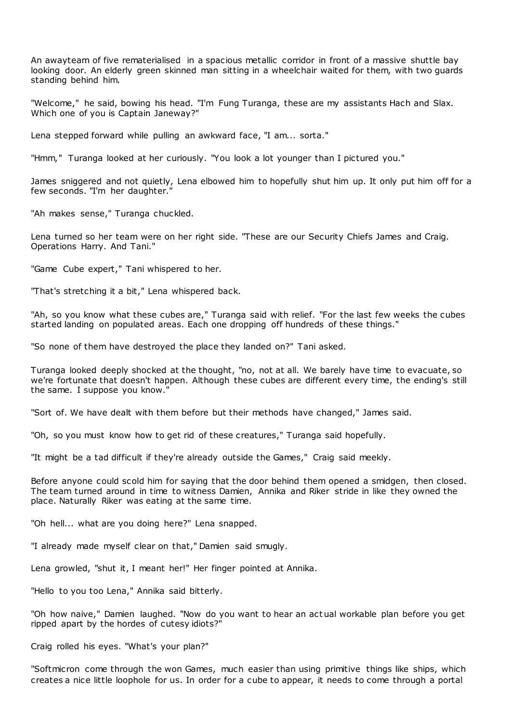An awayteam of five rematerialised in a spacious metallic corridor in front of a massive shuttle bay looking door. An elderly green skinned man sitting in a wheelchair waited for them, with two guards standing behind him.

"Welcome," he said, bowing his head. "I'm Fung Turanga, these are my assistants Hach and Slax. Which one of you is Captain Janeway?"

Lena stepped forward while pulling an awkward face, "I am... sorta."

"Hmm," Turanga looked at her curiously. "You look a lot younger than I pictured you."

James sniggered and not quietly, Lena elbowed him to hopefully shut him up. It only put him off for a few seconds. "I'm her daughter."

"Ah makes sense," Turanga chuckled.

Lena turned so her team were on her right side. "These are our Security Chiefs James and Craig. Operations Harry. And Tani."

"Game Cube expert," Tani whispered to her.

"That's stretching it a bit," Lena whispered back.

"Ah, so you know what these cubes are," Turanga said with relief. "For the last few weeks the cubes started landing on populated areas. Each one dropping off hundreds of these things."

"So none of them have destroyed the place they landed on?" Tani asked.

Turanga looked deeply shocked at the thought, "no, not at all. We barely have time to evacuate, so we're fortunate that doesn't happen. Although these cubes are different every time, the ending's still the same. I suppose you know."

"Sort of. We have dealt with them before but their methods have changed," James said.

"Oh, so you must know how to get rid of these creatures," Turanga said hopefully.

"It might be a tad difficult if they're already outside the Games," Craig said meekly.

Before anyone could scold him for saying that the door behind them opened a smidgen, then closed. The team turned around in time to witness Damien, Annika and Riker stride in like they owned the place. Naturally Riker was eating at the same time.

"Oh hell... what are you doing here?" Lena snapped.

"I already made myself clear on that," Damien said smugly.

Lena growled, "shut it, I meant her!" Her finger pointed at Annika.

"Hello to you too Lena," Annika said bitterly.

"Oh how naive," Damien laughed. "Now do you want to hear an actual workable plan before you get ripped apart by the hordes of cutesy idiots?"

Craig rolled his eyes. "What's your plan?"

"Softmicron come through the won Games, much easier than using primitive things like ships, which creates a nice little loophole for us. In order for a cube to appear, it needs to come through a portal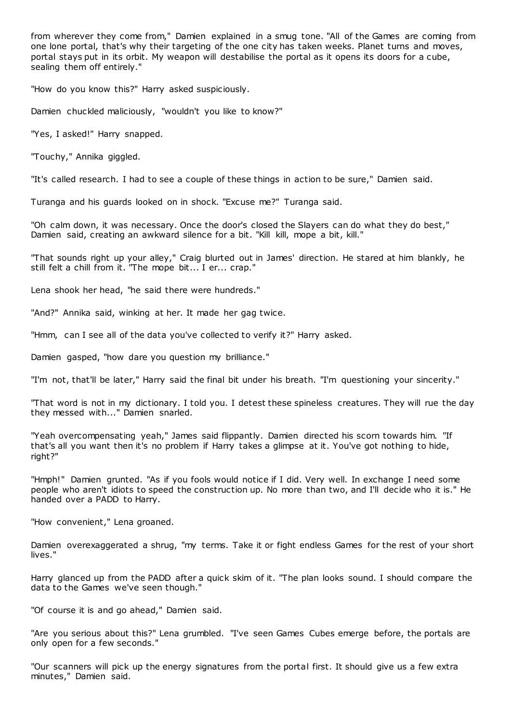from wherever they come from," Damien explained in a smug tone. "All of the Games are coming from one lone portal, that's why their targeting of the one city has taken weeks. Planet turns and moves, portal stays put in its orbit. My weapon will destabilise the portal as it opens its doors for a cube, sealing them off entirely."

"How do you know this?" Harry asked suspiciously.

Damien chuckled maliciously, "wouldn't you like to know?"

"Yes, I asked!" Harry snapped.

"Touchy," Annika giggled.

"It's called research. I had to see a couple of these things in action to be sure," Damien said.

Turanga and his guards looked on in shock. "Excuse me?" Turanga said.

"Oh calm down, it was necessary. Once the door's closed the Slayers can do what they do best," Damien said, creating an awkward silence for a bit. "Kill kill, mope a bit, kill."

"That sounds right up your alley," Craig blurted out in James' direction. He stared at him blankly, he still felt a chill from it. "The mope bit... I er... crap."

Lena shook her head, "he said there were hundreds."

"And?" Annika said, winking at her. It made her gag twice.

"Hmm, can I see all of the data you've collected to verify it?" Harry asked.

Damien gasped, "how dare you question my brilliance."

"I'm not, that'll be later," Harry said the final bit under his breath. "I'm questioning your sincerity."

"That word is not in my dictionary. I told you. I detest these spineless creatures. They will rue the day they messed with..." Damien snarled.

"Yeah overcompensating yeah," James said flippantly. Damien directed his scorn towards him. "If that's all you want then it's no problem if Harry takes a glimpse at it. You've got nothing to hide, right?"

"Hmph!" Damien grunted. "As if you fools would notice if I did. Very well. In exchange I need some people who aren't idiots to speed the construction up. No more than two, and I'll decide who it is." He handed over a PADD to Harry.

"How convenient," Lena groaned.

Damien overexaggerated a shrug, "my terms. Take it or fight endless Games for the rest of your short lives."

Harry glanced up from the PADD after a quick skim of it. "The plan looks sound. I should compare the data to the Games we've seen though."

"Of course it is and go ahead," Damien said.

"Are you serious about this?" Lena grumbled. "I've seen Games Cubes emerge before, the portals are only open for a few seconds."

"Our scanners will pick up the energy signatures from the portal first. It should give us a few extra minutes," Damien said.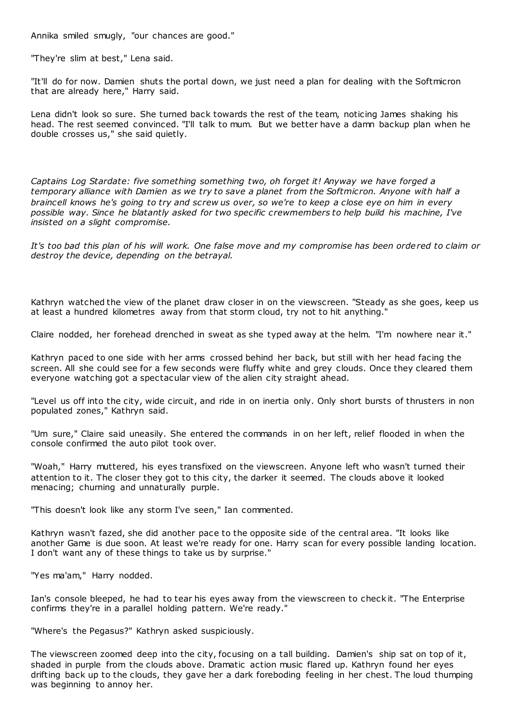Annika smiled smugly, "our chances are good."

"They're slim at best," Lena said.

"It'll do for now. Damien shuts the portal down, we just need a plan for dealing with the Softmicron that are already here," Harry said.

Lena didn't look so sure. She turned back towards the rest of the team, noticing James shaking his head. The rest seemed convinced. "I'll talk to mum. But we better have a damn backup plan when he double crosses us," she said quietly.

*Captains Log Stardate: five something something two, oh forget it! Anyway we have forged a temporary alliance with Damien as we try to save a planet from the Softmicron. Anyone with half a braincell knows he's going to try and screw us over, so we're to keep a close eye on him in every possible way. Since he blatantly asked for two specific crewmembers to help build his machine, I've insisted on a slight compromise.*

*It's too bad this plan of his will work. One false move and my compromise has been ordered to claim or destroy the device, depending on the betrayal.*

Kathryn watched the view of the planet draw closer in on the viewscreen. "Steady as she goes, keep us at least a hundred kilometres away from that storm cloud, try not to hit anything."

Claire nodded, her forehead drenched in sweat as she typed away at the helm. "I'm nowhere near it."

Kathryn paced to one side with her arms crossed behind her back, but still with her head facing the screen. All she could see for a few seconds were fluffy white and grey clouds. Once they cleared them everyone watching got a spectacular view of the alien city straight ahead.

"Level us off into the city, wide circuit, and ride in on inertia only. Only short bursts of thrusters in non populated zones," Kathryn said.

"Um sure," Claire said uneasily. She entered the commands in on her left, relief flooded in when the console confirmed the auto pilot took over.

"Woah," Harry muttered, his eyes transfixed on the viewscreen. Anyone left who wasn't turned their attention to it. The closer they got to this city, the darker it seemed. The clouds above it looked menacing; churning and unnaturally purple.

"This doesn't look like any storm I've seen," Ian commented.

Kathryn wasn't fazed, she did another pace to the opposite side of the central area. "It looks like another Game is due soon. At least we're ready for one. Harry scan for every possible landing location. I don't want any of these things to take us by surprise."

"Yes ma'am," Harry nodded.

Ian's console bleeped, he had to tear his eyes away from the viewscreen to check it. "The Enterprise confirms they're in a parallel holding pattern. We're ready."

"Where's the Pegasus?" Kathryn asked suspiciously.

The viewscreen zoomed deep into the city, focusing on a tall building. Damien's ship sat on top of it, shaded in purple from the clouds above. Dramatic action music flared up. Kathryn found her eyes drifting back up to the clouds, they gave her a dark foreboding feeling in her chest. The loud thumping was beginning to annoy her.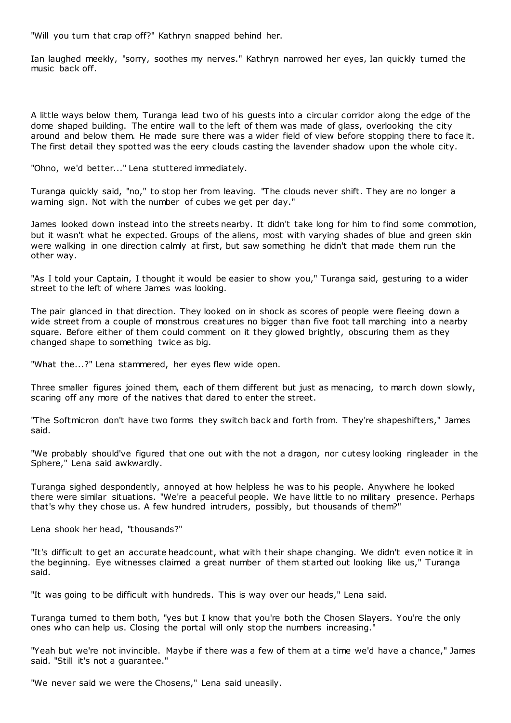"Will you turn that crap off?" Kathryn snapped behind her.

Ian laughed meekly, "sorry, soothes my nerves." Kathryn narrowed her eyes, Ian quickly turned the music back off.

A little ways below them, Turanga lead two of his guests into a circular corridor along the edge of the dome shaped building. The entire wall to the left of them was made of glass, overlooking the city around and below them. He made sure there was a wider field of view before stopping there to face it. The first detail they spotted was the eery clouds casting the lavender shadow upon the whole city.

"Ohno, we'd better..." Lena stuttered immediately.

Turanga quickly said, "no," to stop her from leaving. "The clouds never shift. They are no longer a warning sign. Not with the number of cubes we get per day."

James looked down instead into the streets nearby. It didn't take long for him to find some commotion, but it wasn't what he expected. Groups of the aliens, most with varying shades of blue and green skin were walking in one direction calmly at first, but saw something he didn't that made them run the other way.

"As I told your Captain, I thought it would be easier to show you," Turanga said, gesturing to a wider street to the left of where James was looking.

The pair glanced in that direction. They looked on in shock as scores of people were fleeing down a wide street from a couple of monstrous creatures no bigger than five foot tall marching into a nearby square. Before either of them could comment on it they glowed brightly, obscuring them as they changed shape to something twice as big.

"What the...?" Lena stammered, her eyes flew wide open.

Three smaller figures joined them, each of them different but just as menacing, to march down slowly, scaring off any more of the natives that dared to enter the street.

"The Softmicron don't have two forms they switch back and forth from. They're shapeshifters," James said.

"We probably should've figured that one out with the not a dragon, nor cutesy looking ringleader in the Sphere," Lena said awkwardly.

Turanga sighed despondently, annoyed at how helpless he was to his people. Anywhere he looked there were similar situations. "We're a peaceful people. We have little to no military presence. Perhaps that's why they chose us. A few hundred intruders, possibly, but thousands of them?"

Lena shook her head, "thousands?"

"It's difficult to get an accurate headcount, what with their shape changing. We didn't even notice it in the beginning. Eye witnesses claimed a great number of them st arted out looking like us," Turanga said.

"It was going to be difficult with hundreds. This is way over our heads," Lena said.

Turanga turned to them both, "yes but I know that you're both the Chosen Slayers. You're the only ones who can help us. Closing the portal will only stop the numbers increasing."

"Yeah but we're not invincible. Maybe if there was a few of them at a time we'd have a chance," James said. "Still it's not a guarantee."

"We never said we were the Chosens," Lena said uneasily.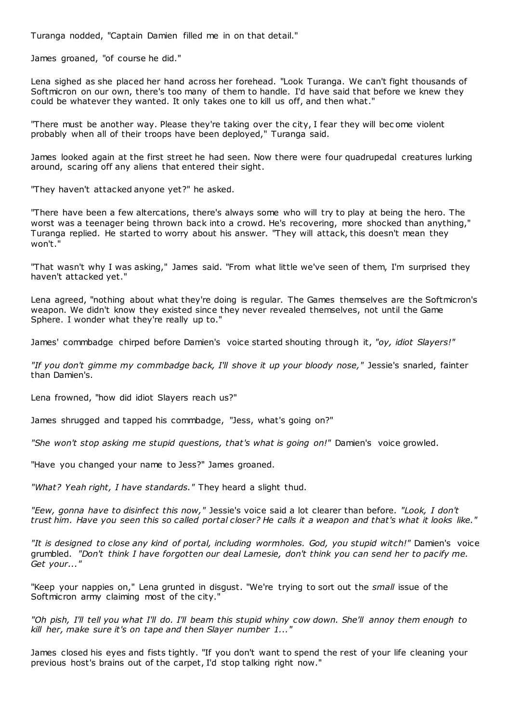Turanga nodded, "Captain Damien filled me in on that detail."

James groaned, "of course he did."

Lena sighed as she placed her hand across her forehead. "Look Turanga. We can't fight thousands of Softmicron on our own, there's too many of them to handle. I'd have said that before we knew they could be whatever they wanted. It only takes one to kill us off, and then what."

"There must be another way. Please they're taking over the city, I fear they will bec ome violent probably when all of their troops have been deployed," Turanga said.

James looked again at the first street he had seen. Now there were four quadrupedal creatures lurking around, scaring off any aliens that entered their sight.

"They haven't attacked anyone yet?" he asked.

"There have been a few altercations, there's always some who will try to play at being the hero. The worst was a teenager being thrown back into a crowd. He's recovering, more shocked than anything," Turanga replied. He started to worry about his answer. "They will attack, this doesn't mean they won't."

"That wasn't why I was asking," James said. "From what little we've seen of them, I'm surprised they haven't attacked yet."

Lena agreed, "nothing about what they're doing is regular. The Games themselves are the Softmicron's weapon. We didn't know they existed since they never revealed themselves, not until the Game Sphere. I wonder what they're really up to."

James' commbadge chirped before Damien's voice started shouting through it, *"oy, idiot Slayers!"*

*"If you don't gimme my commbadge back, I'll shove it up your bloody nose,"* Jessie's snarled, fainter than Damien's.

Lena frowned, "how did idiot Slayers reach us?"

James shrugged and tapped his commbadge, "Jess, what's going on?"

*"She won't stop asking me stupid questions, that's what is going on!"* Damien's voice growled.

"Have you changed your name to Jess?" James groaned.

*"What? Yeah right, I have standards."* They heard a slight thud.

*"Eew, gonna have to disinfect this now,"* Jessie's voice said a lot clearer than before. *"Look, I don't trust him. Have you seen this so called portal closer? He calls it a weapon and that's what it looks like."*

*"It is designed to close any kind of portal, including wormholes. God, you stupid witch!"* Damien's voice grumbled. *"Don't think I have forgotten our deal Lamesie, don't think you can send her to pacify me. Get your..."*

"Keep your nappies on," Lena grunted in disgust. "We're trying to sort out the *small* issue of the Softmicron army claiming most of the city."

*"Oh pish, I'll tell you what I'll do. I'll beam this stupid whiny cow down. She'll annoy them enough to kill her, make sure it's on tape and then Slayer number 1..."*

James closed his eyes and fists tightly. "If you don't want to spend the rest of your life cleaning your previous host's brains out of the carpet, I'd stop talking right now."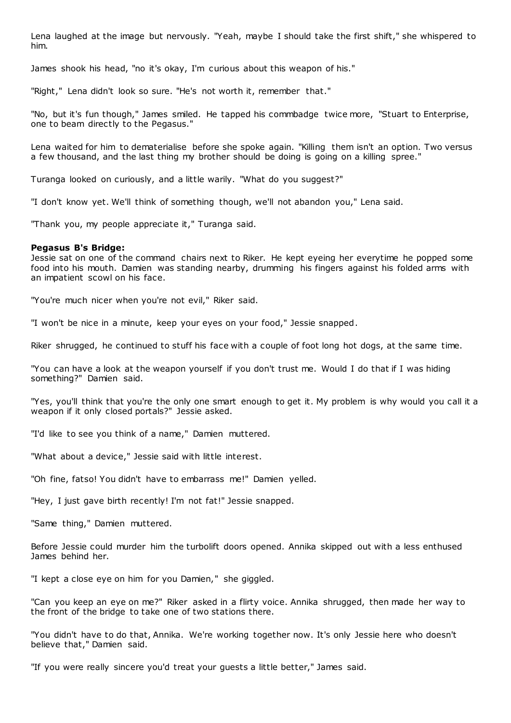Lena laughed at the image but nervously. "Yeah, maybe I should take the first shift," she whispered to him.

James shook his head, "no it's okay, I'm curious about this weapon of his."

"Right," Lena didn't look so sure. "He's not worth it, remember that."

"No, but it's fun though," James smiled. He tapped his commbadge twice more, "Stuart to Enterprise, one to beam directly to the Pegasus."

Lena waited for him to dematerialise before she spoke again. "Killing them isn't an option. Two versus a few thousand, and the last thing my brother should be doing is going on a killing spree."

Turanga looked on curiously, and a little warily. "What do you suggest?"

"I don't know yet. We'll think of something though, we'll not abandon you," Lena said.

"Thank you, my people appreciate it," Turanga said.

## **Pegasus B's Bridge:**

Jessie sat on one of the command chairs next to Riker. He kept eyeing her everytime he popped some food into his mouth. Damien was standing nearby, drumming his fingers against his folded arms with an impatient scowl on his face.

"You're much nicer when you're not evil," Riker said.

"I won't be nice in a minute, keep your eyes on your food," Jessie snapped.

Riker shrugged, he continued to stuff his face with a couple of foot long hot dogs, at the same time.

"You can have a look at the weapon yourself if you don't trust me. Would I do that if I was hiding something?" Damien said.

"Yes, you'll think that you're the only one smart enough to get it. My problem is why would you call it a weapon if it only closed portals?" Jessie asked.

"I'd like to see you think of a name," Damien muttered.

"What about a device," Jessie said with little interest.

"Oh fine, fatso! You didn't have to embarrass me!" Damien yelled.

"Hey, I just gave birth recently! I'm not fat!" Jessie snapped.

"Same thing," Damien muttered.

Before Jessie could murder him the turbolift doors opened. Annika skipped out with a less enthused James behind her.

"I kept a close eye on him for you Damien," she giggled.

"Can you keep an eye on me?" Riker asked in a flirty voice. Annika shrugged, then made her way to the front of the bridge to take one of two stations there.

"You didn't have to do that, Annika. We're working together now. It's only Jessie here who doesn't believe that," Damien said.

"If you were really sincere you'd treat your guests a little better," James said.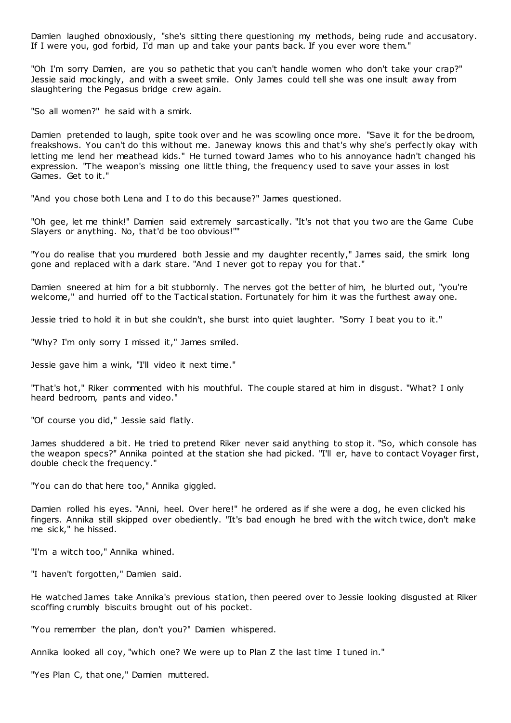Damien laughed obnoxiously, "she's sitting there questioning my methods, being rude and accusatory. If I were you, god forbid, I'd man up and take your pants back. If you ever wore them."

"Oh I'm sorry Damien, are you so pathetic that you can't handle women who don't take your crap?" Jessie said mockingly, and with a sweet smile. Only James could tell she was one insult away from slaughtering the Pegasus bridge crew again.

"So all women?" he said with a smirk.

Damien pretended to laugh, spite took over and he was scowling once more. "Save it for the bedroom, freakshows. You can't do this without me. Janeway knows this and that's why she's perfectly okay with letting me lend her meathead kids." He turned toward James who to his annoyance hadn't changed his expression. "The weapon's missing one little thing, the frequency used to save your asses in lost Games. Get to it."

"And you chose both Lena and I to do this because?" James questioned.

"Oh gee, let me think!" Damien said extremely sarcastically. "It's not that you two are the Game Cube Slayers or anything. No, that'd be too obvious!""

"You do realise that you murdered both Jessie and my daughter recently," James said, the smirk long gone and replaced with a dark stare. "And I never got to repay you for that."

Damien sneered at him for a bit stubbornly. The nerves got the better of him, he blurted out, "you're welcome," and hurried off to the Tactical station. Fortunately for him it was the furthest away one.

Jessie tried to hold it in but she couldn't, she burst into quiet laughter. "Sorry I beat you to it."

"Why? I'm only sorry I missed it," James smiled.

Jessie gave him a wink, "I'll video it next time."

"That's hot," Riker commented with his mouthful. The couple stared at him in disgust. "What? I only heard bedroom, pants and video."

"Of course you did," Jessie said flatly.

James shuddered a bit. He tried to pretend Riker never said anything to stop it. "So, which console has the weapon specs?" Annika pointed at the station she had picked. "I'll er, have to contact Voyager first, double check the frequency."

"You can do that here too," Annika giggled.

Damien rolled his eyes. "Anni, heel. Over here!" he ordered as if she were a dog, he even clicked his fingers. Annika still skipped over obediently. "It's bad enough he bred with the witch twice, don't make me sick," he hissed.

"I'm a witch too," Annika whined.

"I haven't forgotten," Damien said.

He watched James take Annika's previous station, then peered over to Jessie looking disgusted at Riker scoffing crumbly biscuits brought out of his pocket.

"You remember the plan, don't you?" Damien whispered.

Annika looked all coy, "which one? We were up to Plan Z the last time I tuned in."

"Yes Plan C, that one," Damien muttered.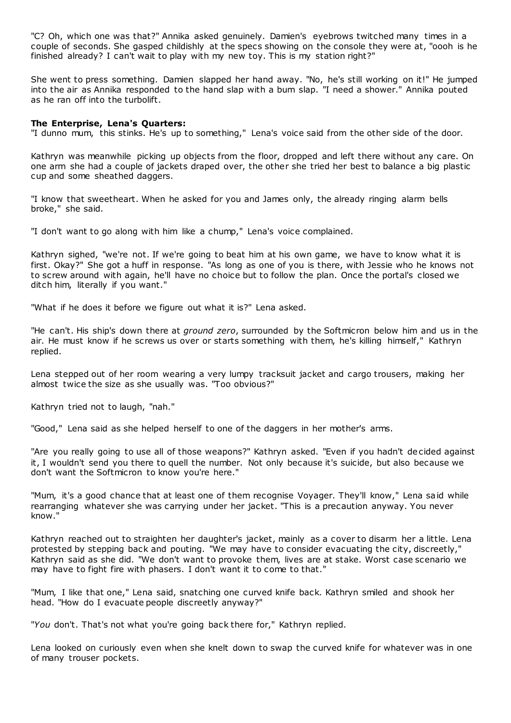"C? Oh, which one was that?" Annika asked genuinely. Damien's eyebrows twitched many times in a couple of seconds. She gasped childishly at the specs showing on the console they were at, "oooh is he finished already? I can't wait to play with my new toy. This is my station right?"

She went to press something. Damien slapped her hand away. "No, he's still working on it!" He jumped into the air as Annika responded to the hand slap with a bum slap. "I need a shower." Annika pouted as he ran off into the turbolift.

# **The Enterprise, Lena's Quarters:**

"I dunno mum, this stinks. He's up to something," Lena's voice said from the other side of the door.

Kathryn was meanwhile picking up objects from the floor, dropped and left there without any care. On one arm she had a couple of jackets draped over, the other she tried her best to balance a big plastic cup and some sheathed daggers.

"I know that sweetheart. When he asked for you and James only, the already ringing alarm bells broke," she said.

"I don't want to go along with him like a chump," Lena's voice complained.

Kathryn sighed, "we're not. If we're going to beat him at his own game, we have to know what it is first. Okay?" She got a huff in response. "As long as one of you is there, with Jessie who he knows not to screw around with again, he'll have no choice but to follow the plan. Once the portal's closed we ditch him, literally if you want."

"What if he does it before we figure out what it is?" Lena asked.

"He can't. His ship's down there at *ground zero*, surrounded by the Softmicron below him and us in the air. He must know if he screws us over or starts something with them, he's killing himself," Kathryn replied.

Lena stepped out of her room wearing a very lumpy tracksuit jacket and cargo trousers, making her almost twice the size as she usually was. "Too obvious?"

Kathryn tried not to laugh, "nah."

"Good," Lena said as she helped herself to one of the daggers in her mother's arms.

"Are you really going to use all of those weapons?" Kathryn asked. "Even if you hadn't decided against it, I wouldn't send you there to quell the number. Not only because it's suicide, but also because we don't want the Softmicron to know you're here."

"Mum, it's a good chance that at least one of them recognise Voyager. They'll know," Lena said while rearranging whatever she was carrying under her jacket. "This is a precaution anyway. You never know."

Kathryn reached out to straighten her daughter's jacket, mainly as a cover to disarm her a little. Lena protested by stepping back and pouting. "We may have to consider evacuating the city, discreetly," Kathryn said as she did. "We don't want to provoke them, lives are at stake. Worst case scenario we may have to fight fire with phasers. I don't want it to come to that."

"Mum, I like that one," Lena said, snatching one curved knife back. Kathryn smiled and shook her head. "How do I evacuate people discreetly anyway?"

"*You* don't. That's not what you're going back there for," Kathryn replied.

Lena looked on curiously even when she knelt down to swap the curved knife for whatever was in one of many trouser pockets.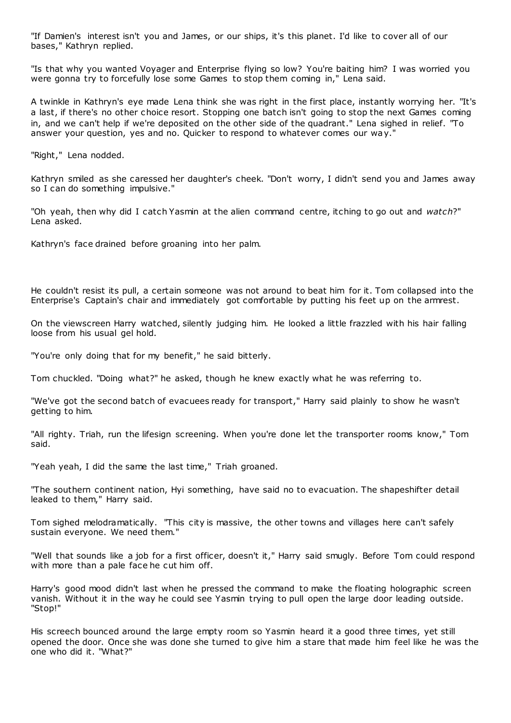"If Damien's interest isn't you and James, or our ships, it's this planet. I'd like to cover all of our bases," Kathryn replied.

"Is that why you wanted Voyager and Enterprise flying so low? You're baiting him? I was worried you were gonna try to forcefully lose some Games to stop them coming in," Lena said.

A twinkle in Kathryn's eye made Lena think she was right in the first place, instantly worrying her. "It's a last, if there's no other choice resort. Stopping one batch isn't going to stop the next Games coming in, and we can't help if we're deposited on the other side of the quadrant." Lena sighed in relief. "To answer your question, yes and no. Quicker to respond to whatever comes our way."

"Right," Lena nodded.

Kathryn smiled as she caressed her daughter's cheek. "Don't worry, I didn't send you and James away so I can do something impulsive."

"Oh yeah, then why did I catch Yasmin at the alien command centre, itching to go out and *watch*?" Lena asked.

Kathryn's face drained before groaning into her palm.

He couldn't resist its pull, a certain someone was not around to beat him for it. Tom collapsed into the Enterprise's Captain's chair and immediately got comfortable by putting his feet up on the armrest.

On the viewscreen Harry watched, silently judging him. He looked a little frazzled with his hair falling loose from his usual gel hold.

"You're only doing that for my benefit," he said bitterly.

Tom chuckled. "Doing what?" he asked, though he knew exactly what he was referring to.

"We've got the second batch of evacuees ready for transport," Harry said plainly to show he wasn't getting to him.

"All righty. Triah, run the lifesign screening. When you're done let the transporter rooms know," Tom said.

"Yeah yeah, I did the same the last time," Triah groaned.

"The southern continent nation, Hyi something, have said no to evacuation. The shapeshifter detail leaked to them," Harry said.

Tom sighed melodramatically. "This city is massive, the other towns and villages here can't safely sustain everyone. We need them."

"Well that sounds like a job for a first officer, doesn't it," Harry said smugly. Before Tom could respond with more than a pale face he cut him off.

Harry's good mood didn't last when he pressed the command to make the floating holographic screen vanish. Without it in the way he could see Yasmin trying to pull open the large door leading outside. "Stop!"

His screech bounced around the large empty room so Yasmin heard it a good three times, yet still opened the door. Once she was done she turned to give him a stare that made him feel like he was the one who did it. "What?"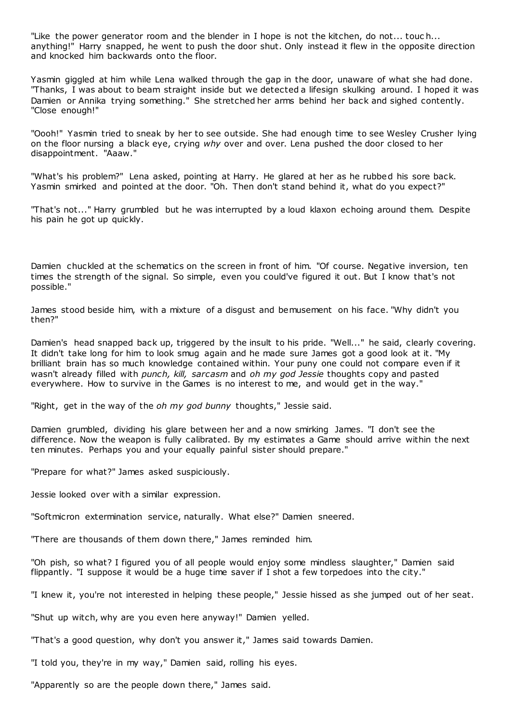"Like the power generator room and the blender in I hope is not the kitchen, do not... touc h... anything!" Harry snapped, he went to push the door shut. Only instead it flew in the opposite direction and knocked him backwards onto the floor.

Yasmin giggled at him while Lena walked through the gap in the door, unaware of what she had done. "Thanks, I was about to beam straight inside but we detected a lifesign skulking around. I hoped it was Damien or Annika trying something." She stretched her arms behind her back and sighed contently. "Close enough!"

"Oooh!" Yasmin tried to sneak by her to see outside. She had enough time to see Wesley Crusher lying on the floor nursing a black eye, crying *why* over and over. Lena pushed the door closed to her disappointment. "Aaaw."

"What's his problem?" Lena asked, pointing at Harry. He glared at her as he rubbed his sore back. Yasmin smirked and pointed at the door. "Oh. Then don't stand behind it, what do you expect?"

"That's not..." Harry grumbled but he was interrupted by a loud klaxon echoing around them. Despite his pain he got up quickly.

Damien chuckled at the schematics on the screen in front of him. "Of course. Negative inversion, ten times the strength of the signal. So simple, even you could've figured it out. But I know that's not possible."

James stood beside him, with a mixture of a disgust and bemusement on his face. "Why didn't you then?"

Damien's head snapped back up, triggered by the insult to his pride. "Well..." he said, clearly covering. It didn't take long for him to look smug again and he made sure James got a good look at it. "My brilliant brain has so much knowledge contained within. Your puny one could not compare even if it wasn't already filled with *punch, kill, sarcasm* and *oh my god Jessie* thoughts copy and pasted everywhere. How to survive in the Games is no interest to me, and would get in the way."

"Right, get in the way of the *oh my god bunny* thoughts," Jessie said.

Damien grumbled, dividing his glare between her and a now smirking James. "I don't see the difference. Now the weapon is fully calibrated. By my estimates a Game should arrive within the next ten minutes. Perhaps you and your equally painful sister should prepare."

"Prepare for what?" James asked suspiciously.

Jessie looked over with a similar expression.

"Softmicron extermination service, naturally. What else?" Damien sneered.

"There are thousands of them down there," James reminded him.

"Oh pish, so what? I figured you of all people would enjoy some mindless slaughter," Damien said flippantly. "I suppose it would be a huge time saver if I shot a few torpedoes into the city."

"I knew it, you're not interested in helping these people," Jessie hissed as she jumped out of her seat.

"Shut up witch, why are you even here anyway!" Damien yelled.

"That's a good question, why don't you answer it," James said towards Damien.

"I told you, they're in my way," Damien said, rolling his eyes.

"Apparently so are the people down there," James said.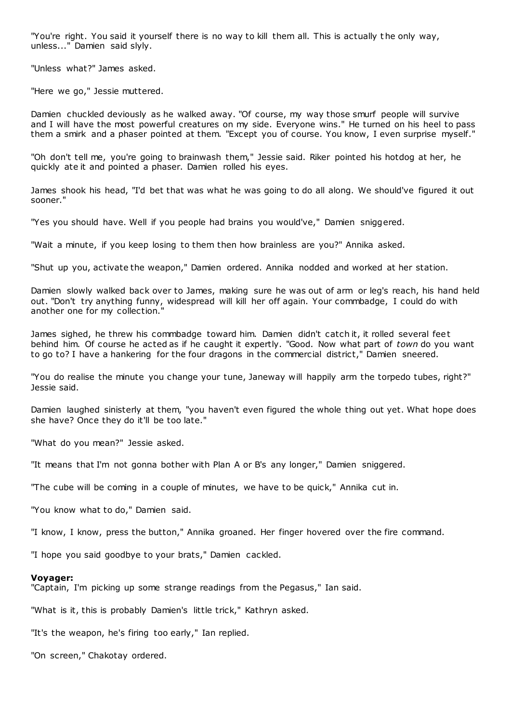"You're right. You said it yourself there is no way to kill them all. This is actually t he only way, unless..." Damien said slyly.

"Unless what?" James asked.

"Here we go," Jessie muttered.

Damien chuckled deviously as he walked away. "Of course, my way those smurf people will survive and I will have the most powerful creatures on my side. Everyone wins." He turned on his heel to pass them a smirk and a phaser pointed at them. "Except you of course. You know, I even surprise myself."

"Oh don't tell me, you're going to brainwash them," Jessie said. Riker pointed his hotdog at her, he quickly ate it and pointed a phaser. Damien rolled his eyes.

James shook his head, "I'd bet that was what he was going to do all along. We should've figured it out sooner."

"Yes you should have. Well if you people had brains you would've," Damien sniggered.

"Wait a minute, if you keep losing to them then how brainless are you?" Annika asked.

"Shut up you, activate the weapon," Damien ordered. Annika nodded and worked at her station.

Damien slowly walked back over to James, making sure he was out of arm or leg's reach, his hand held out. "Don't try anything funny, widespread will kill her off again. Your commbadge, I could do with another one for my collection."

James sighed, he threw his commbadge toward him. Damien didn't catch it, it rolled several feet behind him. Of course he acted as if he caught it expertly. "Good. Now what part of *town* do you want to go to? I have a hankering for the four dragons in the commercial district," Damien sneered.

"You do realise the minute you change your tune, Janeway will happily arm the torpedo tubes, right?" Jessie said.

Damien laughed sinisterly at them, "you haven't even figured the whole thing out yet. What hope does she have? Once they do it'll be too late."

"What do you mean?" Jessie asked.

"It means that I'm not gonna bother with Plan A or B's any longer," Damien sniggered.

"The cube will be coming in a couple of minutes, we have to be quick," Annika cut in.

"You know what to do," Damien said.

"I know, I know, press the button," Annika groaned. Her finger hovered over the fire command.

"I hope you said goodbye to your brats," Damien cackled.

#### **Voyager:**

"Captain, I'm picking up some strange readings from the Pegasus," Ian said.

"What is it, this is probably Damien's little trick," Kathryn asked.

"It's the weapon, he's firing too early," Ian replied.

"On screen," Chakotay ordered.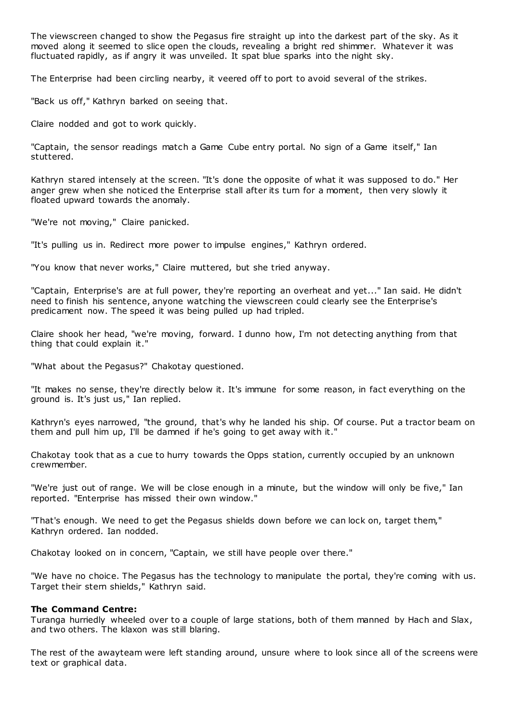The viewscreen changed to show the Pegasus fire straight up into the darkest part of the sky. As it moved along it seemed to slice open the clouds, revealing a bright red shimmer. Whatever it was fluctuated rapidly, as if angry it was unveiled. It spat blue sparks into the night sky.

The Enterprise had been circling nearby, it veered off to port to avoid several of the strikes.

"Back us off," Kathryn barked on seeing that.

Claire nodded and got to work quickly.

"Captain, the sensor readings match a Game Cube entry portal. No sign of a Game itself," Ian stuttered.

Kathryn stared intensely at the screen. "It's done the opposite of what it was supposed to do." Her anger grew when she noticed the Enterprise stall after its turn for a moment, then very slowly it floated upward towards the anomaly.

"We're not moving," Claire panicked.

"It's pulling us in. Redirect more power to impulse engines," Kathryn ordered.

"You know that never works," Claire muttered, but she tried anyway.

"Captain, Enterprise's are at full power, they're reporting an overheat and yet..." Ian said. He didn't need to finish his sentence, anyone watching the viewscreen could clearly see the Enterprise's predicament now. The speed it was being pulled up had tripled.

Claire shook her head, "we're moving, forward. I dunno how, I'm not detecting anything from that thing that could explain it."

"What about the Pegasus?" Chakotay questioned.

"It makes no sense, they're directly below it. It's immune for some reason, in fact everything on the ground is. It's just us," Ian replied.

Kathryn's eyes narrowed, "the ground, that's why he landed his ship. Of course. Put a tractor beam on them and pull him up, I'll be damned if he's going to get away with it."

Chakotay took that as a cue to hurry towards the Opps station, currently occupied by an unknown crewmember.

"We're just out of range. We will be close enough in a minute, but the window will only be five," Ian reported. "Enterprise has missed their own window."

"That's enough. We need to get the Pegasus shields down before we can lock on, target them," Kathryn ordered. Ian nodded.

Chakotay looked on in concern, "Captain, we still have people over there."

"We have no choice. The Pegasus has the technology to manipulate the portal, they're coming with us. Target their stern shields," Kathryn said.

# **The Command Centre:**

Turanga hurriedly wheeled over to a couple of large stations, both of them manned by Hach and Slax, and two others. The klaxon was still blaring.

The rest of the awayteam were left standing around, unsure where to look since all of the screens were text or graphical data.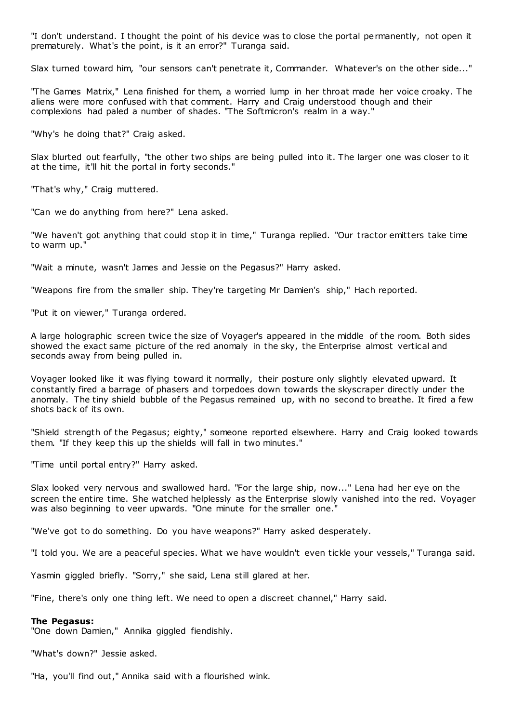"I don't understand. I thought the point of his device was to close the portal permanently, not open it prematurely. What's the point, is it an error?" Turanga said.

Slax turned toward him, "our sensors can't penetrate it, Commander. Whatever's on the other side..."

"The Games Matrix," Lena finished for them, a worried lump in her throat made her voice croaky. The aliens were more confused with that comment. Harry and Craig understood though and their complexions had paled a number of shades. "The Softmicron's realm in a way."

"Why's he doing that?" Craig asked.

Slax blurted out fearfully, "the other two ships are being pulled into it. The larger one was closer to it at the time, it'll hit the portal in forty seconds."

"That's why," Craig muttered.

"Can we do anything from here?" Lena asked.

"We haven't got anything that could stop it in time," Turanga replied. "Our tractor emitters take time to warm up."

"Wait a minute, wasn't James and Jessie on the Pegasus?" Harry asked.

"Weapons fire from the smaller ship. They're targeting Mr Damien's ship," Hach reported.

"Put it on viewer," Turanga ordered.

A large holographic screen twice the size of Voyager's appeared in the middle of the room. Both sides showed the exact same picture of the red anomaly in the sky, the Enterprise almost vertical and seconds away from being pulled in.

Voyager looked like it was flying toward it normally, their posture only slightly elevated upward. It constantly fired a barrage of phasers and torpedoes down towards the skyscraper directly under the anomaly. The tiny shield bubble of the Pegasus remained up, with no second to breathe. It fired a few shots back of its own.

"Shield strength of the Pegasus; eighty," someone reported elsewhere. Harry and Craig looked towards them. "If they keep this up the shields will fall in two minutes."

"Time until portal entry?" Harry asked.

Slax looked very nervous and swallowed hard. "For the large ship, now..." Lena had her eye on the screen the entire time. She watched helplessly as the Enterprise slowly vanished into the red. Voyager was also beginning to veer upwards. "One minute for the smaller one.'

"We've got to do something. Do you have weapons?" Harry asked desperately.

"I told you. We are a peaceful species. What we have wouldn't even tickle your vessels," Turanga said.

Yasmin giggled briefly. "Sorry," she said, Lena still glared at her.

"Fine, there's only one thing left. We need to open a discreet channel," Harry said.

## **The Pegasus:**

"One down Damien," Annika giggled fiendishly.

"What's down?" Jessie asked.

"Ha, you'll find out," Annika said with a flourished wink.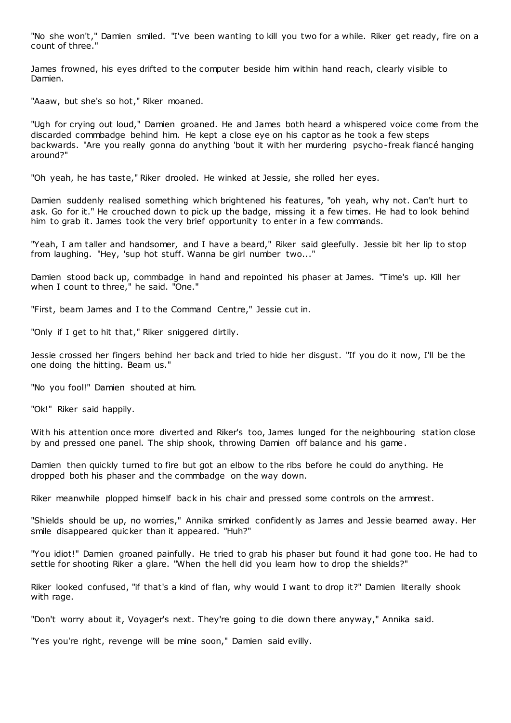"No she won't," Damien smiled. "I've been wanting to kill you two for a while. Riker get ready, fire on a count of three."

James frowned, his eyes drifted to the computer beside him within hand reach, clearly visible to Damien.

"Aaaw, but she's so hot," Riker moaned.

"Ugh for crying out loud," Damien groaned. He and James both heard a whispered voice come from the discarded commbadge behind him. He kept a close eye on his captor as he took a few steps backwards. "Are you really gonna do anything 'bout it with her murdering psycho-freak fiancé hanging around?"

"Oh yeah, he has taste," Riker drooled. He winked at Jessie, she rolled her eyes.

Damien suddenly realised something which brightened his features, "oh yeah, why not. Can't hurt to ask. Go for it." He crouched down to pick up the badge, missing it a few times. He had to look behind him to grab it. James took the very brief opportunity to enter in a few commands.

"Yeah, I am taller and handsomer, and I have a beard," Riker said gleefully. Jessie bit her lip to stop from laughing. "Hey, 'sup hot stuff. Wanna be girl number two..."

Damien stood back up, commbadge in hand and repointed his phaser at James. "Time's up. Kill her when I count to three," he said. "One."

"First, beam James and I to the Command Centre," Jessie cut in.

"Only if I get to hit that," Riker sniggered dirtily.

Jessie crossed her fingers behind her back and tried to hide her disgust. "If you do it now, I'll be the one doing the hitting. Beam us."

"No you fool!" Damien shouted at him.

"Ok!" Riker said happily.

With his attention once more diverted and Riker's too, James lunged for the neighbouring station close by and pressed one panel. The ship shook, throwing Damien off balance and his game.

Damien then quickly turned to fire but got an elbow to the ribs before he could do anything. He dropped both his phaser and the commbadge on the way down.

Riker meanwhile plopped himself back in his chair and pressed some controls on the armrest.

"Shields should be up, no worries," Annika smirked confidently as James and Jessie beamed away. Her smile disappeared quicker than it appeared. "Huh?"

"You idiot!" Damien groaned painfully. He tried to grab his phaser but found it had gone too. He had to settle for shooting Riker a glare. "When the hell did you learn how to drop the shields?"

Riker looked confused, "if that's a kind of flan, why would I want to drop it?" Damien literally shook with rage.

"Don't worry about it, Voyager's next. They're going to die down there anyway," Annika said.

"Yes you're right, revenge will be mine soon," Damien said evilly.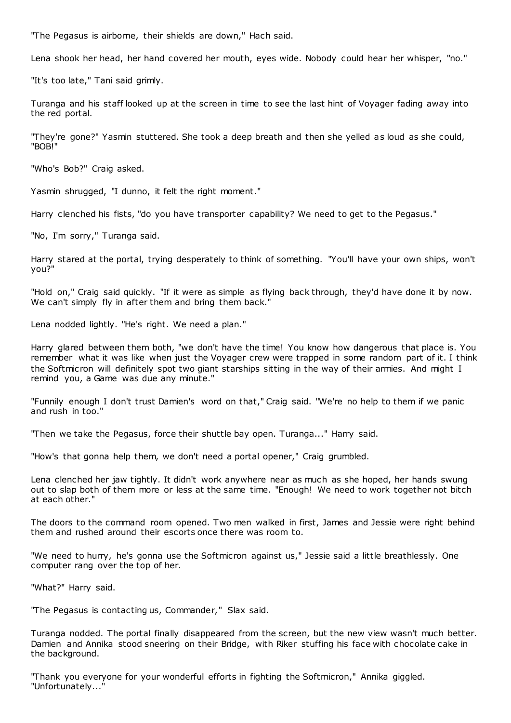"The Pegasus is airborne, their shields are down," Hach said.

Lena shook her head, her hand covered her mouth, eyes wide. Nobody could hear her whisper, "no."

"It's too late," Tani said grimly.

Turanga and his staff looked up at the screen in time to see the last hint of Voyager fading away into the red portal.

"They're gone?" Yasmin stuttered. She took a deep breath and then she yelled as loud as she could, "BOB!"

"Who's Bob?" Craig asked.

Yasmin shrugged, "I dunno, it felt the right moment."

Harry clenched his fists, "do you have transporter capability? We need to get to the Pegasus."

"No, I'm sorry," Turanga said.

Harry stared at the portal, trying desperately to think of something. "You'll have your own ships, won't you?"

"Hold on," Craig said quickly. "If it were as simple as flying back through, they'd have done it by now. We can't simply fly in after them and bring them back."

Lena nodded lightly. "He's right. We need a plan."

Harry glared between them both, "we don't have the time! You know how dangerous that place is. You remember what it was like when just the Voyager crew were trapped in some random part of it. I think the Softmicron will definitely spot two giant starships sitting in the way of their armies. And might I remind you, a Game was due any minute."

"Funnily enough I don't trust Damien's word on that," Craig said. "We're no help to them if we panic and rush in too."

"Then we take the Pegasus, force their shuttle bay open. Turanga..." Harry said.

"How's that gonna help them, we don't need a portal opener," Craig grumbled.

Lena clenched her jaw tightly. It didn't work anywhere near as much as she hoped, her hands swung out to slap both of them more or less at the same time. "Enough! We need to work together not bitch at each other."

The doors to the command room opened. Two men walked in first, James and Jessie were right behind them and rushed around their escorts once there was room to.

"We need to hurry, he's gonna use the Softmicron against us," Jessie said a little breathlessly. One computer rang over the top of her.

"What?" Harry said.

"The Pegasus is contacting us, Commander," Slax said.

Turanga nodded. The portal finally disappeared from the screen, but the new view wasn't much better. Damien and Annika stood sneering on their Bridge, with Riker stuffing his face with chocolate cake in the background.

"Thank you everyone for your wonderful efforts in fighting the Softmicron," Annika giggled. "Unfortunately..."